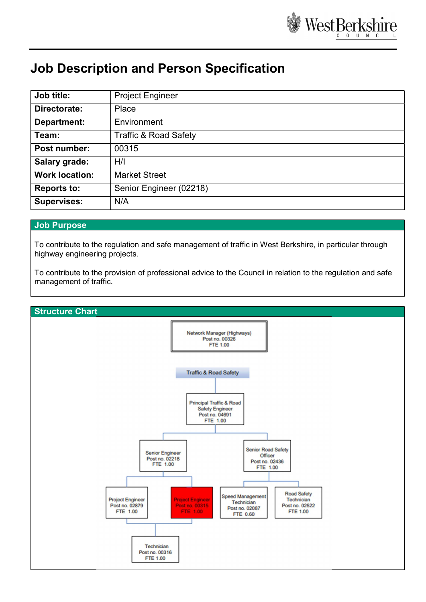

## Job Description and Person Specification

| Job title:            | <b>Project Engineer</b>          |
|-----------------------|----------------------------------|
| Directorate:          | Place                            |
| Department:           | Environment                      |
| Team:                 | <b>Traffic &amp; Road Safety</b> |
| Post number:          | 00315                            |
| <b>Salary grade:</b>  | H/I                              |
| <b>Work location:</b> | <b>Market Street</b>             |
| <b>Reports to:</b>    | Senior Engineer (02218)          |
| <b>Supervises:</b>    | N/A                              |

## Job Purpose

To contribute to the regulation and safe management of traffic in West Berkshire, in particular through highway engineering projects.

To contribute to the provision of professional advice to the Council in relation to the regulation and safe management of traffic.

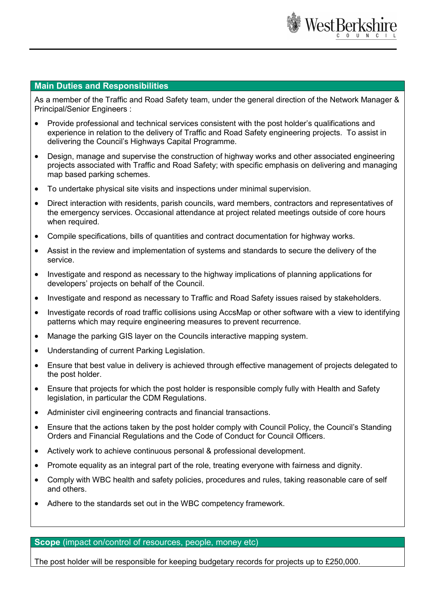

## Main Duties and Responsibilities

As a member of the Traffic and Road Safety team, under the general direction of the Network Manager & Principal/Senior Engineers :

- Provide professional and technical services consistent with the post holder's qualifications and experience in relation to the delivery of Traffic and Road Safety engineering projects. To assist in delivering the Council's Highways Capital Programme.
- Design, manage and supervise the construction of highway works and other associated engineering projects associated with Traffic and Road Safety; with specific emphasis on delivering and managing map based parking schemes.
- To undertake physical site visits and inspections under minimal supervision.
- Direct interaction with residents, parish councils, ward members, contractors and representatives of the emergency services. Occasional attendance at project related meetings outside of core hours when required.
- Compile specifications, bills of quantities and contract documentation for highway works.
- Assist in the review and implementation of systems and standards to secure the delivery of the service.
- Investigate and respond as necessary to the highway implications of planning applications for developers' projects on behalf of the Council.
- Investigate and respond as necessary to Traffic and Road Safety issues raised by stakeholders.
- Investigate records of road traffic collisions using AccsMap or other software with a view to identifying patterns which may require engineering measures to prevent recurrence.
- Manage the parking GIS layer on the Councils interactive mapping system.
- Understanding of current Parking Legislation.
- Ensure that best value in delivery is achieved through effective management of projects delegated to the post holder.
- Ensure that projects for which the post holder is responsible comply fully with Health and Safety legislation, in particular the CDM Regulations.
- Administer civil engineering contracts and financial transactions.
- Ensure that the actions taken by the post holder comply with Council Policy, the Council's Standing Orders and Financial Regulations and the Code of Conduct for Council Officers.
- Actively work to achieve continuous personal & professional development.
- Promote equality as an integral part of the role, treating everyone with fairness and dignity.
- Comply with WBC health and safety policies, procedures and rules, taking reasonable care of self and others.
- Adhere to the standards set out in the WBC competency framework.

## Scope (impact on/control of resources, people, money etc)

The post holder will be responsible for keeping budgetary records for projects up to £250,000.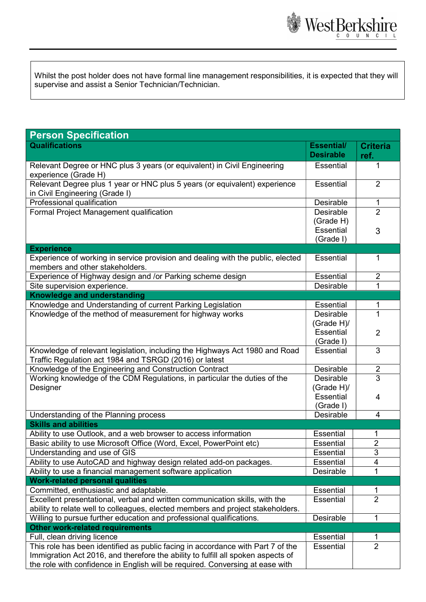

Whilst the post holder does not have formal line management responsibilities, it is expected that they will supervise and assist a Senior Technician/Technician.

| <b>Person Specification</b>                                                                                                                                    |                                       |                         |  |
|----------------------------------------------------------------------------------------------------------------------------------------------------------------|---------------------------------------|-------------------------|--|
| <b>Qualifications</b>                                                                                                                                          | <b>Essential/</b><br><b>Desirable</b> | <b>Criteria</b><br>ref. |  |
| Relevant Degree or HNC plus 3 years (or equivalent) in Civil Engineering<br>experience (Grade H)                                                               | <b>Essential</b>                      | 1                       |  |
| Relevant Degree plus 1 year or HNC plus 5 years (or equivalent) experience<br>in Civil Engineering (Grade I)                                                   |                                       | $\overline{2}$          |  |
| Professional qualification                                                                                                                                     |                                       | 1                       |  |
| Formal Project Management qualification                                                                                                                        |                                       | $\overline{2}$          |  |
|                                                                                                                                                                | (Grade H)                             |                         |  |
|                                                                                                                                                                | <b>Essential</b>                      | 3                       |  |
|                                                                                                                                                                | (Grade I)                             |                         |  |
| <b>Experience</b>                                                                                                                                              |                                       |                         |  |
| Experience of working in service provision and dealing with the public, elected<br>members and other stakeholders.                                             | Essential                             | 1                       |  |
| Experience of Highway design and /or Parking scheme design                                                                                                     | Essential                             | $\overline{2}$          |  |
| Site supervision experience.                                                                                                                                   | Desirable                             | 1                       |  |
| <b>Knowledge and understanding</b>                                                                                                                             |                                       |                         |  |
| Knowledge and Understanding of current Parking Legislation                                                                                                     | Essential                             | 1                       |  |
| Knowledge of the method of measurement for highway works                                                                                                       | <b>Desirable</b>                      | $\mathbf{1}$            |  |
|                                                                                                                                                                | (Grade H)/                            |                         |  |
|                                                                                                                                                                | <b>Essential</b>                      | $\overline{2}$          |  |
| Knowledge of relevant legislation, including the Highways Act 1980 and Road                                                                                    | (Grade I)<br><b>Essential</b>         | 3                       |  |
| Traffic Regulation act 1984 and TSRGD (2016) or latest                                                                                                         |                                       |                         |  |
| Knowledge of the Engineering and Construction Contract                                                                                                         | Desirable                             | $\overline{2}$          |  |
| Working knowledge of the CDM Regulations, in particular the duties of the                                                                                      |                                       | $\overline{3}$          |  |
| Designer                                                                                                                                                       | (Grade H)/                            |                         |  |
|                                                                                                                                                                | <b>Essential</b>                      | 4                       |  |
|                                                                                                                                                                | (Grade I)                             |                         |  |
| Understanding of the Planning process<br>Desirable                                                                                                             |                                       | 4                       |  |
| <b>Skills and abilities</b>                                                                                                                                    |                                       |                         |  |
| Ability to use Outlook, and a web browser to access information                                                                                                | <b>Essential</b>                      | 1                       |  |
| Basic ability to use Microsoft Office (Word, Excel, PowerPoint etc)                                                                                            | Essential                             | $\overline{2}$          |  |
| Understanding and use of GIS                                                                                                                                   | <b>Essential</b>                      | 3                       |  |
| Ability to use AutoCAD and highway design related add-on packages.                                                                                             | Essential                             | 4                       |  |
| Ability to use a financial management software application                                                                                                     | Desirable                             | 1                       |  |
| <b>Work-related personal qualities</b>                                                                                                                         |                                       |                         |  |
| Committed, enthusiastic and adaptable.                                                                                                                         | <b>Essential</b>                      | 1<br>$\overline{2}$     |  |
| Excellent presentational, verbal and written communication skills, with the<br>ability to relate well to colleagues, elected members and project stakeholders. | Essential                             |                         |  |
| Willing to pursue further education and professional qualifications.                                                                                           | Desirable                             | 1                       |  |
| <b>Other work-related requirements</b>                                                                                                                         |                                       |                         |  |
| Full, clean driving licence                                                                                                                                    | <b>Essential</b>                      | 1                       |  |
| This role has been identified as public facing in accordance with Part 7 of the                                                                                | <b>Essential</b>                      | $\overline{2}$          |  |
| Immigration Act 2016, and therefore the ability to fulfill all spoken aspects of                                                                               |                                       |                         |  |
| the role with confidence in English will be required. Conversing at ease with                                                                                  |                                       |                         |  |